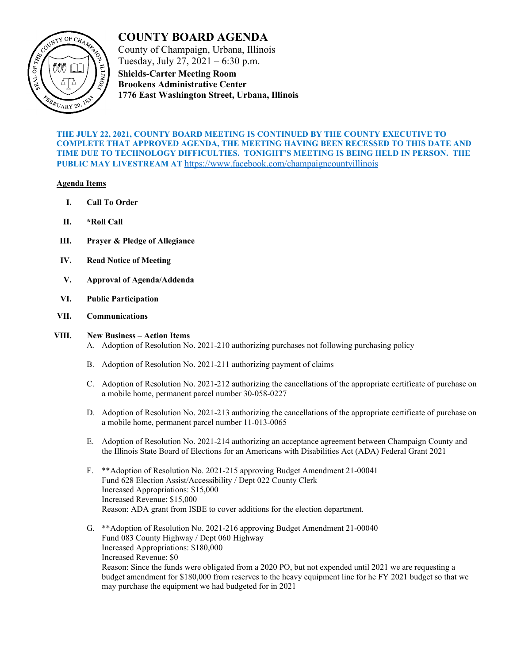

# **COUNTY BOARD AGENDA**

County of Champaign, Urbana, Illinois Tuesday, July 27, 2021 – 6:30 p.m.

**Shields-Carter Meeting Room Brookens Administrative Center 1776 East Washington Street, Urbana, Illinois**

### **THE JULY 22, 2021, COUNTY BOARD MEETING IS CONTINUED BY THE COUNTY EXECUTIVE TO COMPLETE THAT APPROVED AGENDA, THE MEETING HAVING BEEN RECESSED TO THIS DATE AND TIME DUE TO TECHNOLOGY DIFFICULTIES. TONIGHT'S MEETING IS BEING HELD IN PERSON. THE PUBLIC MAY LIVESTREAM AT** <https://www.facebook.com/champaigncountyillinois>

### **Agenda Items**

- **I. Call To Order**
- **II. \*Roll Call**
- **III. Prayer & Pledge of Allegiance**
- **IV. Read Notice of Meeting**
- **V. Approval of Agenda/Addenda**
- **VI. Public Participation**
- **VII. Communications**

## **VIII. New Business – Action Items**

- A. Adoption of Resolution No. 2021-210 authorizing purchases not following purchasing policy
- B. Adoption of Resolution No. 2021-211 authorizing payment of claims
- C. Adoption of Resolution No. 2021-212 authorizing the cancellations of the appropriate certificate of purchase on a mobile home, permanent parcel number 30-058-0227
- D. Adoption of Resolution No. 2021-213 authorizing the cancellations of the appropriate certificate of purchase on a mobile home, permanent parcel number 11-013-0065
- E. Adoption of Resolution No. 2021-214 authorizing an acceptance agreement between Champaign County and the Illinois State Board of Elections for an Americans with Disabilities Act (ADA) Federal Grant 2021
- F. \*\*Adoption of Resolution No. 2021-215 approving Budget Amendment 21-00041 Fund 628 Election Assist/Accessibility / Dept 022 County Clerk Increased Appropriations: \$15,000 Increased Revenue: \$15,000 Reason: ADA grant from ISBE to cover additions for the election department.
- G. \*\*Adoption of Resolution No. 2021-216 approving Budget Amendment 21-00040 Fund 083 County Highway / Dept 060 Highway Increased Appropriations: \$180,000 Increased Revenue: \$0 Reason: Since the funds were obligated from a 2020 PO, but not expended until 2021 we are requesting a budget amendment for \$180,000 from reserves to the heavy equipment line for he FY 2021 budget so that we may purchase the equipment we had budgeted for in 2021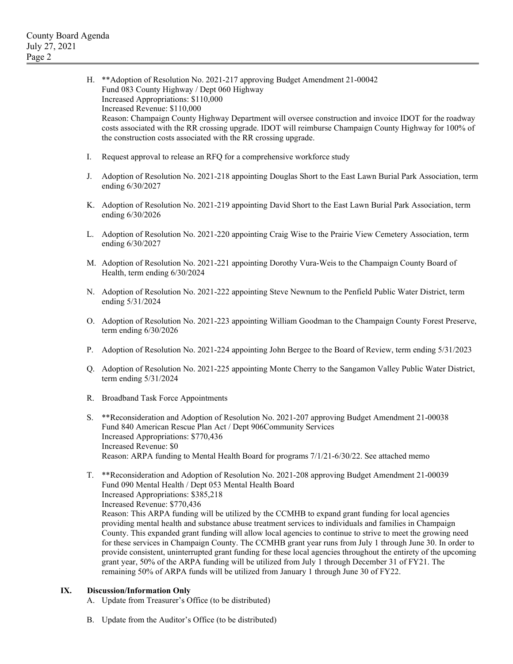**IX.** 

| Н.                                                                                          | ** Adoption of Resolution No. 2021-217 approving Budget Amendment 21-00042<br>Fund 083 County Highway / Dept 060 Highway<br>Increased Appropriations: \$110,000<br>Increased Revenue: \$110,000<br>Reason: Champaign County Highway Department will oversee construction and invoice IDOT for the roadway<br>costs associated with the RR crossing upgrade. IDOT will reimburse Champaign County Highway for 100% of<br>the construction costs associated with the RR crossing upgrade.                                                                                                                                                                                                                                                                      |
|---------------------------------------------------------------------------------------------|--------------------------------------------------------------------------------------------------------------------------------------------------------------------------------------------------------------------------------------------------------------------------------------------------------------------------------------------------------------------------------------------------------------------------------------------------------------------------------------------------------------------------------------------------------------------------------------------------------------------------------------------------------------------------------------------------------------------------------------------------------------|
| I.                                                                                          | Request approval to release an RFQ for a comprehensive workforce study                                                                                                                                                                                                                                                                                                                                                                                                                                                                                                                                                                                                                                                                                       |
| J.                                                                                          | Adoption of Resolution No. 2021-218 appointing Douglas Short to the East Lawn Burial Park Association, term<br>ending 6/30/2027                                                                                                                                                                                                                                                                                                                                                                                                                                                                                                                                                                                                                              |
| Κ.                                                                                          | Adoption of Resolution No. 2021-219 appointing David Short to the East Lawn Burial Park Association, term<br>ending 6/30/2026                                                                                                                                                                                                                                                                                                                                                                                                                                                                                                                                                                                                                                |
| L.                                                                                          | Adoption of Resolution No. 2021-220 appointing Craig Wise to the Prairie View Cemetery Association, term<br>ending 6/30/2027                                                                                                                                                                                                                                                                                                                                                                                                                                                                                                                                                                                                                                 |
|                                                                                             | M. Adoption of Resolution No. 2021-221 appointing Dorothy Vura-Weis to the Champaign County Board of<br>Health, term ending 6/30/2024                                                                                                                                                                                                                                                                                                                                                                                                                                                                                                                                                                                                                        |
|                                                                                             | N. Adoption of Resolution No. 2021-222 appointing Steve Newnum to the Penfield Public Water District, term<br>ending 5/31/2024                                                                                                                                                                                                                                                                                                                                                                                                                                                                                                                                                                                                                               |
|                                                                                             | O. Adoption of Resolution No. 2021-223 appointing William Goodman to the Champaign County Forest Preserve,<br>term ending $6/30/2026$                                                                                                                                                                                                                                                                                                                                                                                                                                                                                                                                                                                                                        |
| Ρ.                                                                                          | Adoption of Resolution No. 2021-224 appointing John Bergee to the Board of Review, term ending 5/31/2023                                                                                                                                                                                                                                                                                                                                                                                                                                                                                                                                                                                                                                                     |
| Q.                                                                                          | Adoption of Resolution No. 2021-225 appointing Monte Cherry to the Sangamon Valley Public Water District,<br>term ending $5/31/2024$                                                                                                                                                                                                                                                                                                                                                                                                                                                                                                                                                                                                                         |
| R.                                                                                          | <b>Broadband Task Force Appointments</b>                                                                                                                                                                                                                                                                                                                                                                                                                                                                                                                                                                                                                                                                                                                     |
| S.                                                                                          | **Reconsideration and Adoption of Resolution No. 2021-207 approving Budget Amendment 21-00038<br>Fund 840 American Rescue Plan Act / Dept 906Community Services<br>Increased Appropriations: \$770,436<br>Increased Revenue: \$0                                                                                                                                                                                                                                                                                                                                                                                                                                                                                                                             |
|                                                                                             | Reason: ARPA funding to Mental Health Board for programs 7/1/21-6/30/22. See attached memo                                                                                                                                                                                                                                                                                                                                                                                                                                                                                                                                                                                                                                                                   |
| Т.                                                                                          | **Reconsideration and Adoption of Resolution No. 2021-208 approving Budget Amendment 21-00039<br>Fund 090 Mental Health / Dept 053 Mental Health Board<br>Increased Appropriations: \$385,218<br>Increased Revenue: \$770,436                                                                                                                                                                                                                                                                                                                                                                                                                                                                                                                                |
|                                                                                             | Reason: This ARPA funding will be utilized by the CCMHB to expand grant funding for local agencies<br>providing mental health and substance abuse treatment services to individuals and families in Champaign<br>County. This expanded grant funding will allow local agencies to continue to strive to meet the growing need<br>for these services in Champaign County. The CCMHB grant year runs from July 1 through June 30. In order to<br>provide consistent, uninterrupted grant funding for these local agencies throughout the entirety of the upcoming<br>grant year, 50% of the ARPA funding will be utilized from July 1 through December 31 of FY21. The<br>remaining 50% of ARPA funds will be utilized from January 1 through June 30 of FY22. |
| <b>Discussion/Information Only</b><br>A. Update from Treasurer's Office (to be distributed) |                                                                                                                                                                                                                                                                                                                                                                                                                                                                                                                                                                                                                                                                                                                                                              |
|                                                                                             |                                                                                                                                                                                                                                                                                                                                                                                                                                                                                                                                                                                                                                                                                                                                                              |

B. Update from the Auditor's Office (to be distributed)